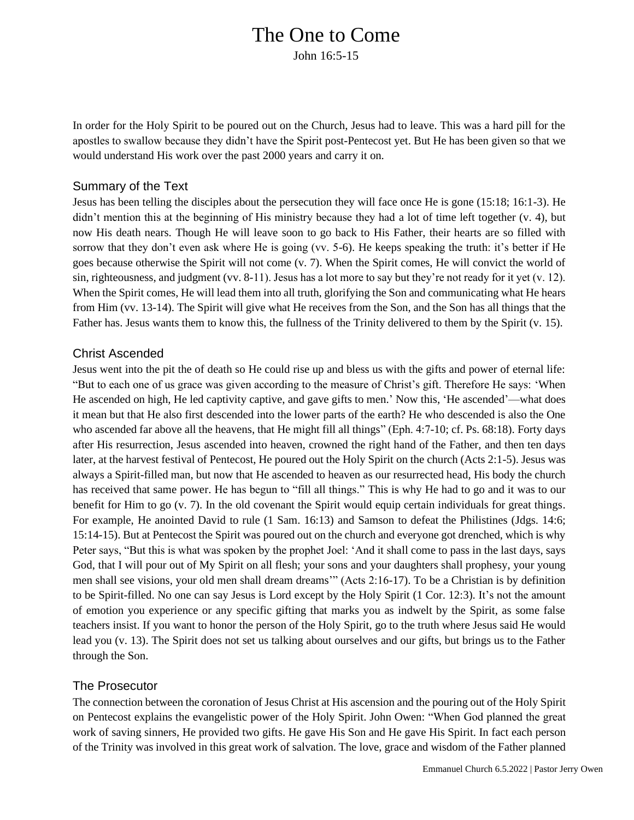# The One to Come

John 16:5-15

In order for the Holy Spirit to be poured out on the Church, Jesus had to leave. This was a hard pill for the apostles to swallow because they didn't have the Spirit post-Pentecost yet. But He has been given so that we would understand His work over the past 2000 years and carry it on.

#### Summary of the Text

Jesus has been telling the disciples about the persecution they will face once He is gone (15:18; 16:1-3). He didn't mention this at the beginning of His ministry because they had a lot of time left together (v. 4), but now His death nears. Though He will leave soon to go back to His Father, their hearts are so filled with sorrow that they don't even ask where He is going (vv. 5-6). He keeps speaking the truth: it's better if He goes because otherwise the Spirit will not come (v. 7). When the Spirit comes, He will convict the world of sin, righteousness, and judgment (vv. 8-11). Jesus has a lot more to say but they're not ready for it yet (v. 12). When the Spirit comes, He will lead them into all truth, glorifying the Son and communicating what He hears from Him (vv. 13-14). The Spirit will give what He receives from the Son, and the Son has all things that the Father has. Jesus wants them to know this, the fullness of the Trinity delivered to them by the Spirit (v. 15).

#### Christ Ascended

Jesus went into the pit the of death so He could rise up and bless us with the gifts and power of eternal life: "But to each one of us grace was given according to the measure of Christ's gift. Therefore He says: 'When He ascended on high, He led captivity captive, and gave gifts to men.' Now this, 'He ascended'—what does it mean but that He also first descended into the lower parts of the earth? He who descended is also the One who ascended far above all the heavens, that He might fill all things" (Eph. 4:7-10; cf. Ps. 68:18). Forty days after His resurrection, Jesus ascended into heaven, crowned the right hand of the Father, and then ten days later, at the harvest festival of Pentecost, He poured out the Holy Spirit on the church (Acts 2:1-5). Jesus was always a Spirit-filled man, but now that He ascended to heaven as our resurrected head, His body the church has received that same power. He has begun to "fill all things." This is why He had to go and it was to our benefit for Him to go (v. 7). In the old covenant the Spirit would equip certain individuals for great things. For example, He anointed David to rule (1 Sam. 16:13) and Samson to defeat the Philistines (Jdgs. 14:6; 15:14-15). But at Pentecost the Spirit was poured out on the church and everyone got drenched, which is why Peter says, "But this is what was spoken by the prophet Joel: 'And it shall come to pass in the last days, says God, that I will pour out of My Spirit on all flesh; your sons and your daughters shall prophesy, your young men shall see visions, your old men shall dream dreams'" (Acts 2:16-17). To be a Christian is by definition to be Spirit-filled. No one can say Jesus is Lord except by the Holy Spirit (1 Cor. 12:3). It's not the amount of emotion you experience or any specific gifting that marks you as indwelt by the Spirit, as some false teachers insist. If you want to honor the person of the Holy Spirit, go to the truth where Jesus said He would lead you (v. 13). The Spirit does not set us talking about ourselves and our gifts, but brings us to the Father through the Son.

### The Prosecutor

The connection between the coronation of Jesus Christ at His ascension and the pouring out of the Holy Spirit on Pentecost explains the evangelistic power of the Holy Spirit. John Owen: "When God planned the great work of saving sinners, He provided two gifts. He gave His Son and He gave His Spirit. In fact each person of the Trinity was involved in this great work of salvation. The love, grace and wisdom of the Father planned